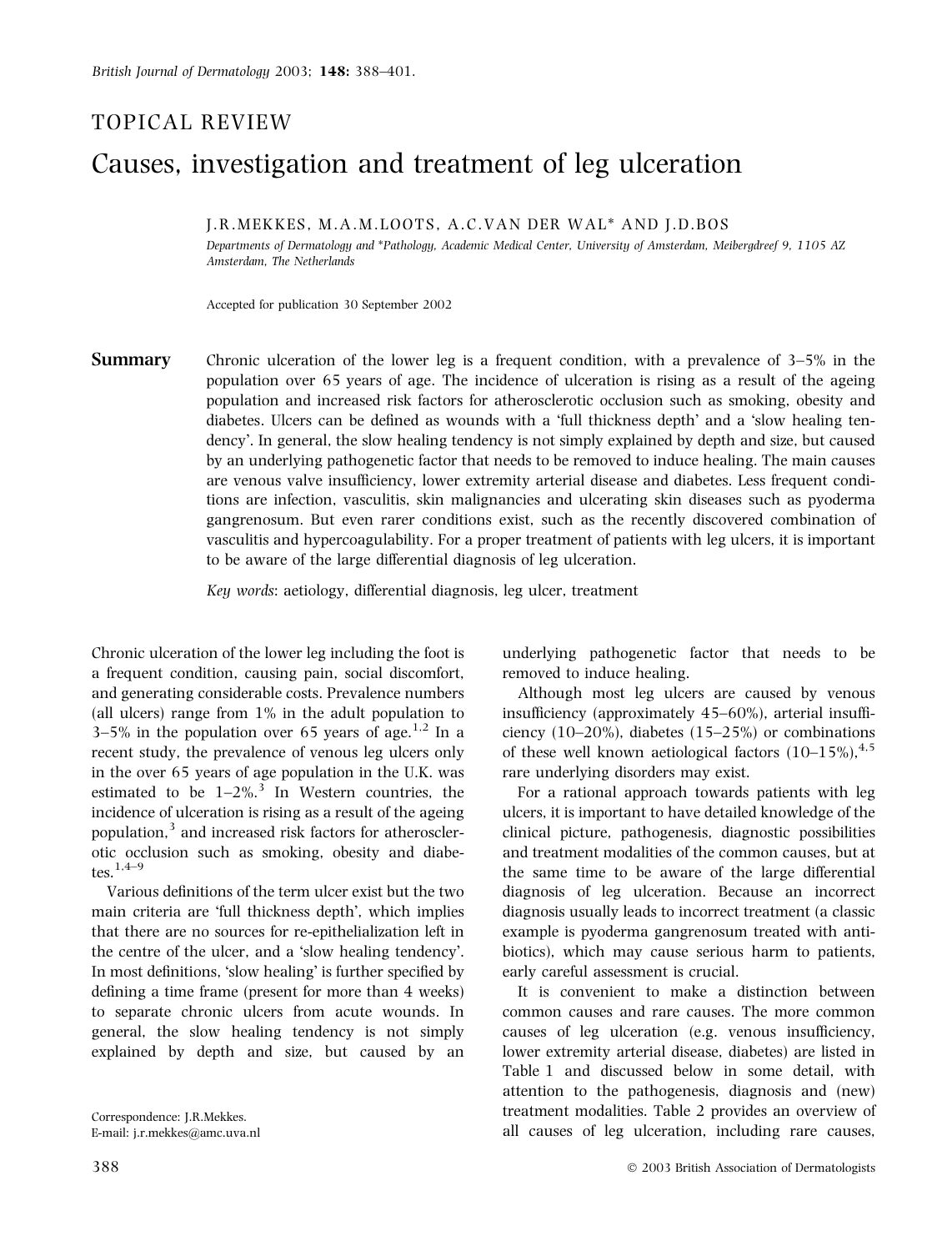# TOPICAL REVIEW

# Causes, investigation and treatment of leg ulceration

J.R.MEKKES, M.A.M.LOOTS, A.C.VAN DER WAL\* AND J.D.BOS

Departments of Dermatology and \*Pathology, Academic Medical Center, University of Amsterdam, Meibergdreef 9, 1105 AZ Amsterdam, The Netherlands

Accepted for publication 30 September 2002

Summary Chronic ulceration of the lower leg is a frequent condition, with a prevalence of 3–5% in the population over 65 years of age. The incidence of ulceration is rising as a result of the ageing population and increased risk factors for atherosclerotic occlusion such as smoking, obesity and diabetes. Ulcers can be defined as wounds with a 'full thickness depth' and a 'slow healing tendency-. In general, the slow healing tendency is not simply explained by depth and size, but caused by an underlying pathogenetic factor that needs to be removed to induce healing. The main causes are venous valve insufficiency, lower extremity arterial disease and diabetes. Less frequent conditions are infection, vasculitis, skin malignancies and ulcerating skin diseases such as pyoderma gangrenosum. But even rarer conditions exist, such as the recently discovered combination of vasculitis and hypercoagulability. For a proper treatment of patients with leg ulcers, it is important to be aware of the large differential diagnosis of leg ulceration.

Key words: aetiology, differential diagnosis, leg ulcer, treatment

Chronic ulceration of the lower leg including the foot is a frequent condition, causing pain, social discomfort, and generating considerable costs. Prevalence numbers (all ulcers) range from 1% in the adult population to  $3-5\%$  in the population over 65 years of age.<sup>1,2</sup> In a recent study, the prevalence of venous leg ulcers only in the over 65 years of age population in the U.K. was estimated to be  $1-2\%$ .<sup>3</sup> In Western countries, the incidence of ulceration is rising as a result of the ageing population,<sup>3</sup> and increased risk factors for atherosclerotic occlusion such as smoking, obesity and diabetes.<sup>1,4–9</sup>

Various definitions of the term ulcer exist but the two main criteria are 'full thickness depth', which implies that there are no sources for re-epithelialization left in the centre of the ulcer, and a 'slow healing tendency'. In most definitions, 'slow healing' is further specified by defining a time frame (present for more than 4 weeks) to separate chronic ulcers from acute wounds. In general, the slow healing tendency is not simply explained by depth and size, but caused by an

Correspondence: J.R.Mekkes. E-mail: j.r.mekkes@amc.uva.nl

underlying pathogenetic factor that needs to be removed to induce healing.

Although most leg ulcers are caused by venous insufficiency (approximately 45–60%), arterial insufficiency (10–20%), diabetes (15–25%) or combinations of these well known aetiological factors  $(10-15\%)$ ,<sup>4,5</sup> rare underlying disorders may exist.

For a rational approach towards patients with leg ulcers, it is important to have detailed knowledge of the clinical picture, pathogenesis, diagnostic possibilities and treatment modalities of the common causes, but at the same time to be aware of the large differential diagnosis of leg ulceration. Because an incorrect diagnosis usually leads to incorrect treatment (a classic example is pyoderma gangrenosum treated with antibiotics), which may cause serious harm to patients, early careful assessment is crucial.

It is convenient to make a distinction between common causes and rare causes. The more common causes of leg ulceration (e.g. venous insufficiency, lower extremity arterial disease, diabetes) are listed in Table 1 and discussed below in some detail, with attention to the pathogenesis, diagnosis and (new) treatment modalities. Table 2 provides an overview of all causes of leg ulceration, including rare causes,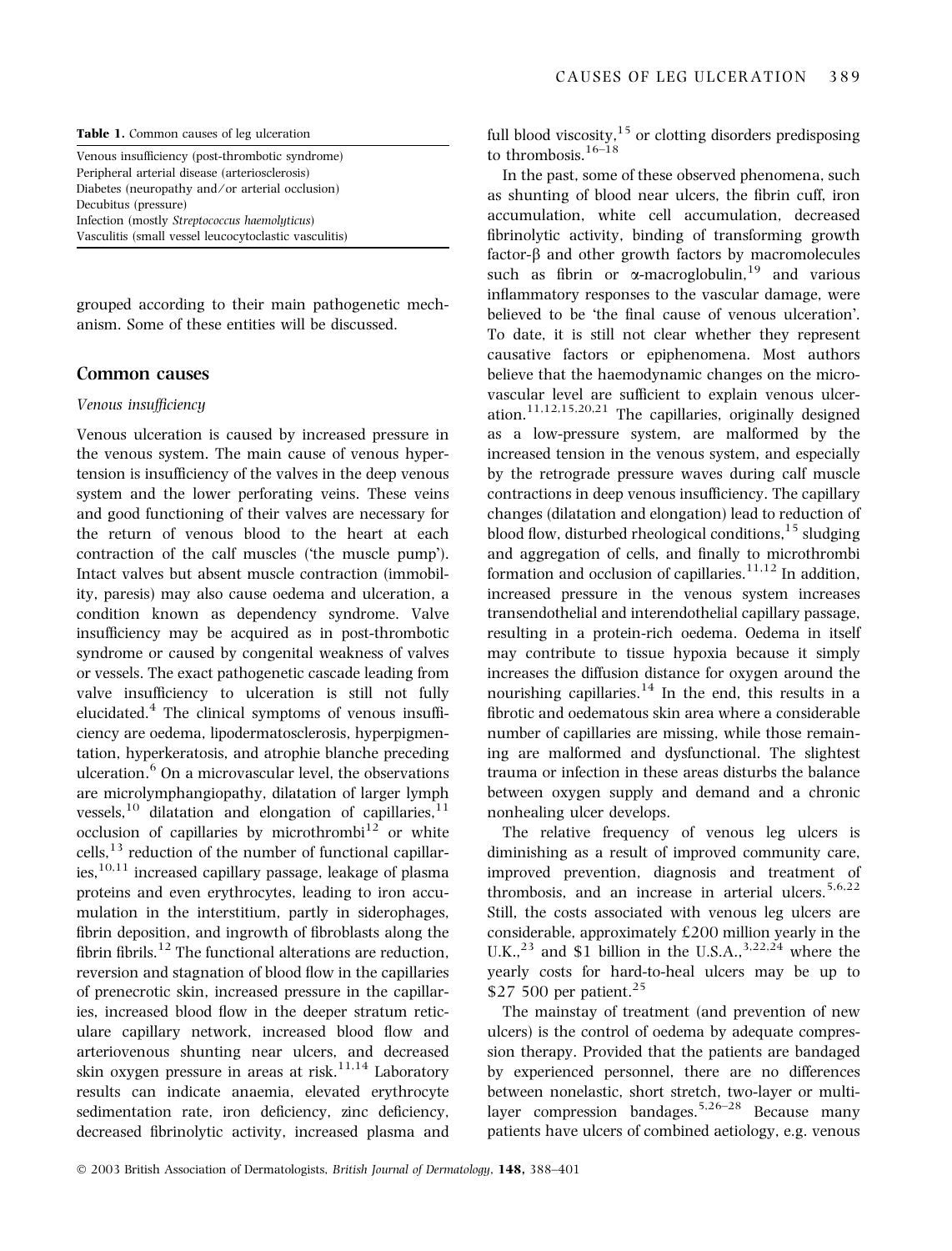#### Table 1. Common causes of leg ulceration

Venous insufficiency (post-thrombotic syndrome) Peripheral arterial disease (arteriosclerosis) Diabetes (neuropathy and ⁄ or arterial occlusion) Decubitus (pressure) Infection (mostly Streptococcus haemolyticus) Vasculitis (small vessel leucocytoclastic vasculitis)

grouped according to their main pathogenetic mechanism. Some of these entities will be discussed.

## Common causes

#### Venous insufficiency

Venous ulceration is caused by increased pressure in the venous system. The main cause of venous hypertension is insufficiency of the valves in the deep venous system and the lower perforating veins. These veins and good functioning of their valves are necessary for the return of venous blood to the heart at each contraction of the calf muscles ('the muscle pump'). Intact valves but absent muscle contraction (immobility, paresis) may also cause oedema and ulceration, a condition known as dependency syndrome. Valve insufficiency may be acquired as in post-thrombotic syndrome or caused by congenital weakness of valves or vessels. The exact pathogenetic cascade leading from valve insufficiency to ulceration is still not fully elucidated. $4$  The clinical symptoms of venous insufficiency are oedema, lipodermatosclerosis, hyperpigmentation, hyperkeratosis, and atrophie blanche preceding ulceration.<sup>6</sup> On a microvascular level, the observations are microlymphangiopathy, dilatation of larger lymph vessels, $10$  dilatation and elongation of capillaries, $11$ occlusion of capillaries by microthrombi<sup>12</sup> or white cells,<sup>13</sup> reduction of the number of functional capillaries, $10,11$  increased capillary passage, leakage of plasma proteins and even erythrocytes, leading to iron accumulation in the interstitium, partly in siderophages, fibrin deposition, and ingrowth of fibroblasts along the fibrin fibrils.<sup>12</sup> The functional alterations are reduction, reversion and stagnation of blood flow in the capillaries of prenecrotic skin, increased pressure in the capillaries, increased blood flow in the deeper stratum reticulare capillary network, increased blood flow and arteriovenous shunting near ulcers, and decreased skin oxygen pressure in areas at risk.<sup>11,14</sup> Laboratory results can indicate anaemia, elevated erythrocyte sedimentation rate, iron deficiency, zinc deficiency, decreased fibrinolytic activity, increased plasma and full blood viscosity, $15$  or clotting disorders predisposing to thrombosis. $16-18$ 

In the past, some of these observed phenomena, such as shunting of blood near ulcers, the fibrin cuff, iron accumulation, white cell accumulation, decreased fibrinolytic activity, binding of transforming growth  $factor- $\beta$  and other growth factors by macromolecules$ such as fibrin or  $\alpha$ -macroglobulin, <sup>19</sup> and various inflammatory responses to the vascular damage, were believed to be 'the final cause of venous ulceration'. To date, it is still not clear whether they represent causative factors or epiphenomena. Most authors believe that the haemodynamic changes on the microvascular level are sufficient to explain venous ulceration.11,12,15,20,21 The capillaries, originally designed as a low-pressure system, are malformed by the increased tension in the venous system, and especially by the retrograde pressure waves during calf muscle contractions in deep venous insufficiency. The capillary changes (dilatation and elongation) lead to reduction of blood flow, disturbed rheological conditions,  $15$  sludging and aggregation of cells, and finally to microthrombi formation and occlusion of capillaries. $11,12$  In addition, increased pressure in the venous system increases transendothelial and interendothelial capillary passage, resulting in a protein-rich oedema. Oedema in itself may contribute to tissue hypoxia because it simply increases the diffusion distance for oxygen around the nourishing capillaries. $14$  In the end, this results in a fibrotic and oedematous skin area where a considerable number of capillaries are missing, while those remaining are malformed and dysfunctional. The slightest trauma or infection in these areas disturbs the balance between oxygen supply and demand and a chronic nonhealing ulcer develops.

The relative frequency of venous leg ulcers is diminishing as a result of improved community care, improved prevention, diagnosis and treatment of thrombosis, and an increase in arterial ulcers.<sup>5,6,22</sup> Still, the costs associated with venous leg ulcers are considerable, approximately £200 million yearly in the U.K.,  $^{23}$  and \$1 billion in the U.S.A.,  $^{3,22,24}$  where the yearly costs for hard-to-heal ulcers may be up to \$27 500 per patient. $25$ 

The mainstay of treatment (and prevention of new ulcers) is the control of oedema by adequate compression therapy. Provided that the patients are bandaged by experienced personnel, there are no differences between nonelastic, short stretch, two-layer or multilayer compression bandages.<sup>5,26–28</sup> Because many patients have ulcers of combined aetiology, e.g. venous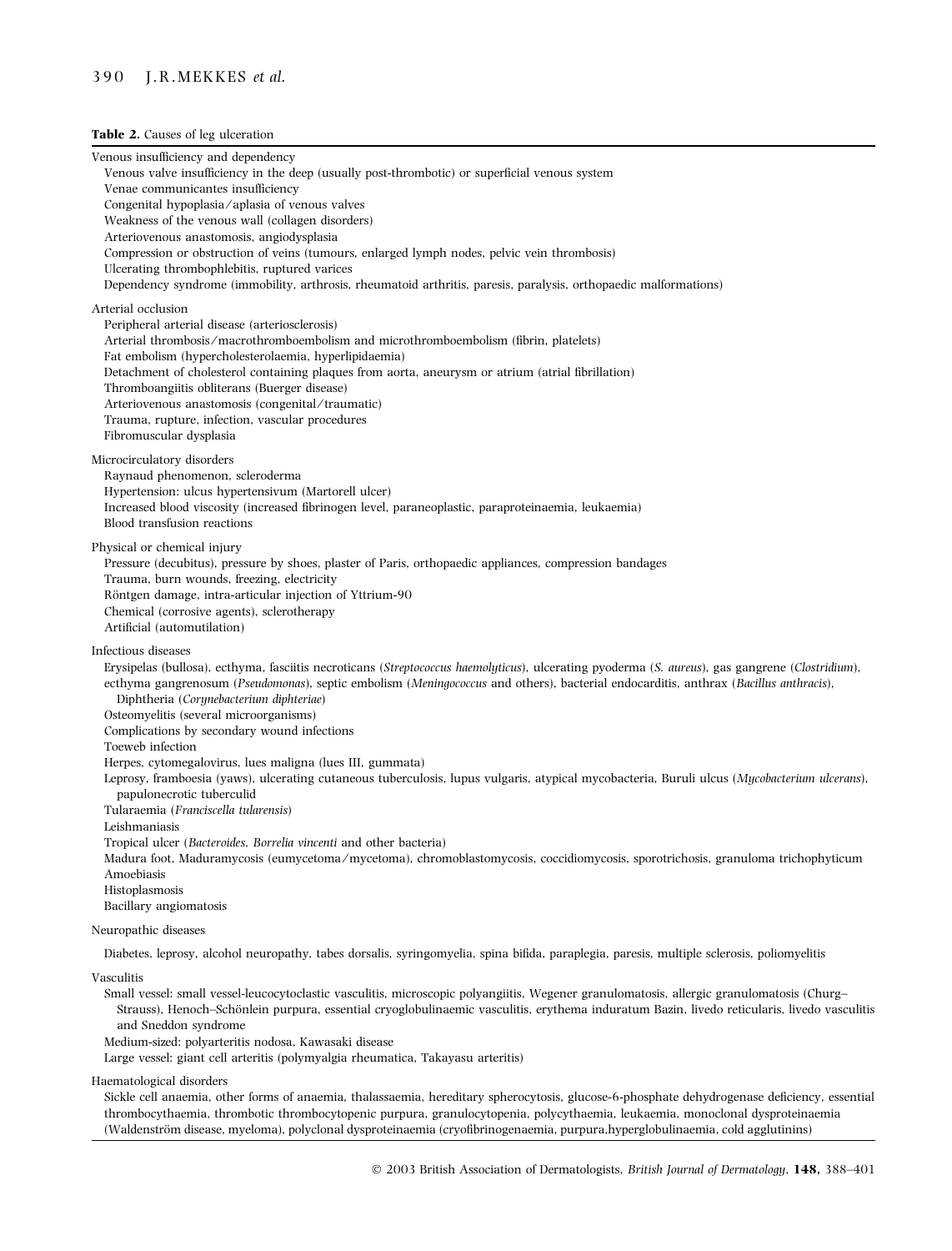#### 390 J.R.MEKKES et al.

#### Table 2. Causes of leg ulceration

Venous insufficiency and dependency Venous valve insufficiency in the deep (usually post-thrombotic) or superficial venous system Venae communicantes insufficiency Congenital hypoplasia ⁄ aplasia of venous valves Weakness of the venous wall (collagen disorders) Arteriovenous anastomosis, angiodysplasia Compression or obstruction of veins (tumours, enlarged lymph nodes, pelvic vein thrombosis) Ulcerating thrombophlebitis, ruptured varices Dependency syndrome (immobility, arthrosis, rheumatoid arthritis, paresis, paralysis, orthopaedic malformations) Arterial occlusion Peripheral arterial disease (arteriosclerosis) Arterial thrombosis ⁄ macrothromboembolism and microthromboembolism (fibrin, platelets) Fat embolism (hypercholesterolaemia, hyperlipidaemia) Detachment of cholesterol containing plaques from aorta, aneurysm or atrium (atrial fibrillation) Thromboangiitis obliterans (Buerger disease) Arteriovenous anastomosis (congenital ⁄ traumatic) Trauma, rupture, infection, vascular procedures Fibromuscular dysplasia Microcirculatory disorders Raynaud phenomenon, scleroderma Hypertension: ulcus hypertensivum (Martorell ulcer) Increased blood viscosity (increased fibrinogen level, paraneoplastic, paraproteinaemia, leukaemia) Blood transfusion reactions Physical or chemical injury Pressure (decubitus), pressure by shoes, plaster of Paris, orthopaedic appliances, compression bandages Trauma, burn wounds, freezing, electricity Röntgen damage, intra-articular injection of Yttrium-90 Chemical (corrosive agents), sclerotherapy Artificial (automutilation) Infectious diseases Erysipelas (bullosa), ecthyma, fasciitis necroticans (Streptococcus haemolyticus), ulcerating pyoderma (S. aureus), gas gangrene (Clostridium), ecthyma gangrenosum (Pseudomonas), septic embolism (Meningococcus and others), bacterial endocarditis, anthrax (Bacillus anthracis), Diphtheria (Corynebacterium diphteriae) Osteomyelitis (several microorganisms) Complications by secondary wound infections Toeweb infection Herpes, cytomegalovirus, lues maligna (lues III, gummata) Leprosy, framboesia (yaws), ulcerating cutaneous tuberculosis, lupus vulgaris, atypical mycobacteria, Buruli ulcus (Mycobacterium ulcerans), papulonecrotic tuberculid Tularaemia (Franciscella tularensis) Leishmaniasis Tropical ulcer (Bacteroides, Borrelia vincenti and other bacteria) Madura foot, Maduramycosis (eumycetoma ⁄ mycetoma), chromoblastomycosis, coccidiomycosis, sporotrichosis, granuloma trichophyticum Amoebiasis Histoplasmosis Bacillary angiomatosis Neuropathic diseases Diabetes, leprosy, alcohol neuropathy, tabes dorsalis, syringomyelia, spina bifida, paraplegia, paresis, multiple sclerosis, poliomyelitis Vasculitis Small vessel: small vessel-leucocytoclastic vasculitis, microscopic polyangiitis, Wegener granulomatosis, allergic granulomatosis (Churg– Strauss), Henoch–Schönlein purpura, essential cryoglobulinaemic vasculitis, erythema induratum Bazin, livedo reticularis, livedo vasculitis

and Sneddon syndrome Medium-sized: polyarteritis nodosa, Kawasaki disease

Large vessel: giant cell arteritis (polymyalgia rheumatica, Takayasu arteritis)

Haematological disorders

Sickle cell anaemia, other forms of anaemia, thalassaemia, hereditary spherocytosis, glucose-6-phosphate dehydrogenase deficiency, essential thrombocythaemia, thrombotic thrombocytopenic purpura, granulocytopenia, polycythaemia, leukaemia, monoclonal dysproteinaemia (Waldenström disease, myeloma), polyclonal dysproteinaemia (cryofibrinogenaemia, purpura,hyperglobulinaemia, cold agglutinins)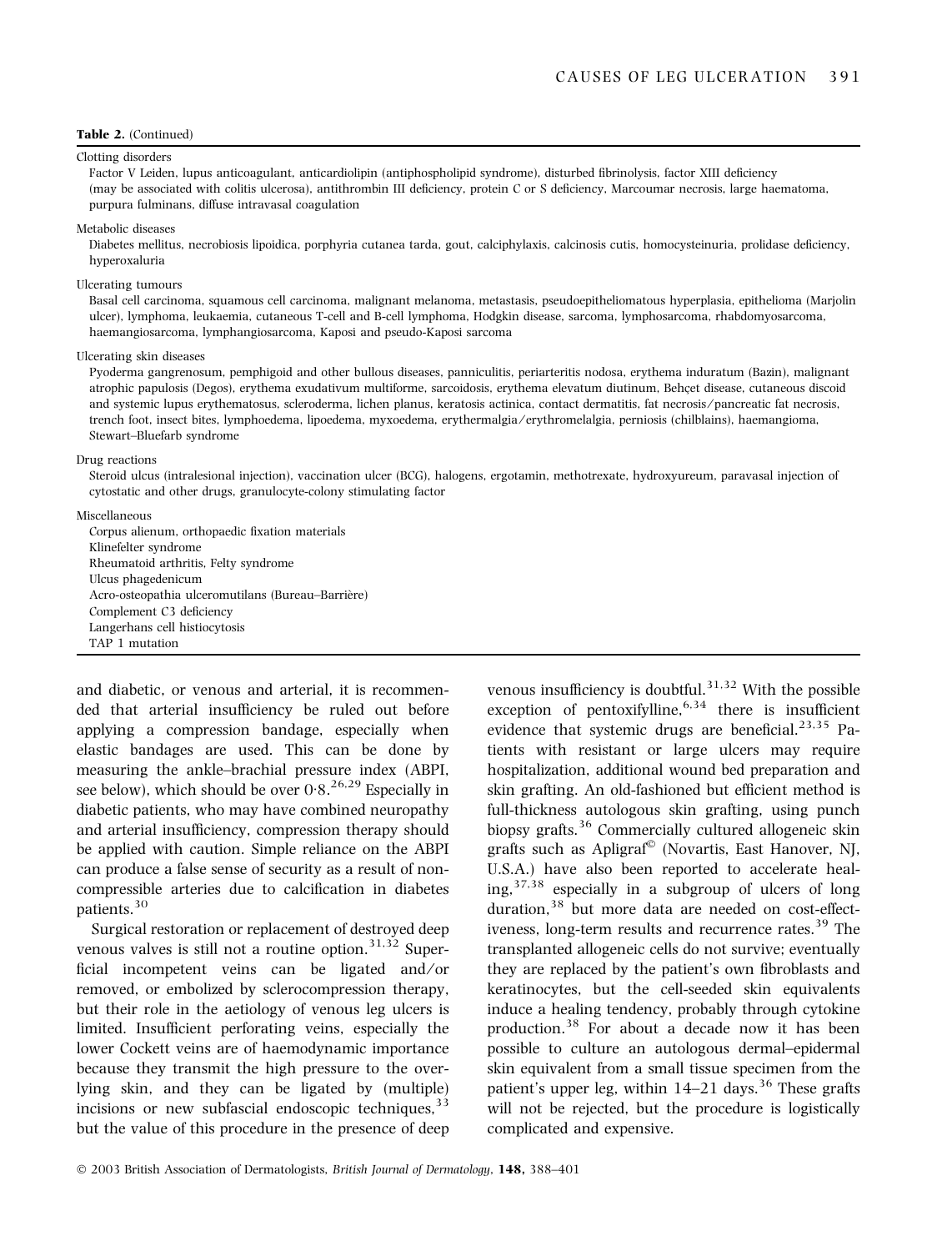#### Table 2. (Continued)

#### Clotting disorders

Factor V Leiden, lupus anticoagulant, anticardiolipin (antiphospholipid syndrome), disturbed fibrinolysis, factor XIII deficiency (may be associated with colitis ulcerosa), antithrombin III deficiency, protein C or S deficiency, Marcoumar necrosis, large haematoma, purpura fulminans, diffuse intravasal coagulation

#### Metabolic diseases

Diabetes mellitus, necrobiosis lipoidica, porphyria cutanea tarda, gout, calciphylaxis, calcinosis cutis, homocysteinuria, prolidase deficiency, hyperoxaluria

#### Ulcerating tumours

Basal cell carcinoma, squamous cell carcinoma, malignant melanoma, metastasis, pseudoepitheliomatous hyperplasia, epithelioma (Marjolin ulcer), lymphoma, leukaemia, cutaneous T-cell and B-cell lymphoma, Hodgkin disease, sarcoma, lymphosarcoma, rhabdomyosarcoma, haemangiosarcoma, lymphangiosarcoma, Kaposi and pseudo-Kaposi sarcoma

#### Ulcerating skin diseases

Pyoderma gangrenosum, pemphigoid and other bullous diseases, panniculitis, periarteritis nodosa, erythema induratum (Bazin), malignant atrophic papulosis (Degos), erythema exudativum multiforme, sarcoidosis, erythema elevatum diutinum, Behçet disease, cutaneous discoid and systemic lupus erythematosus, scleroderma, lichen planus, keratosis actinica, contact dermatitis, fat necrosis/pancreatic fat necrosis, trench foot, insect bites, lymphoedema, lipoedema, myxoedema, erythermalgia ⁄ erythromelalgia, perniosis (chilblains), haemangioma, Stewart–Bluefarb syndrome

#### Drug reactions

Steroid ulcus (intralesional injection), vaccination ulcer (BCG), halogens, ergotamin, methotrexate, hydroxyureum, paravasal injection of cytostatic and other drugs, granulocyte-colony stimulating factor

#### Miscellaneous

Corpus alienum, orthopaedic fixation materials Klinefelter syndrome Rheumatoid arthritis, Felty syndrome Ulcus phagedenicum Acro-osteopathia ulceromutilans (Bureau–Barrière) Complement C3 deficiency Langerhans cell histiocytosis TAP 1 mutation

and diabetic, or venous and arterial, it is recommended that arterial insufficiency be ruled out before applying a compression bandage, especially when elastic bandages are used. This can be done by measuring the ankle–brachial pressure index (ABPI, see below), which should be over  $0.8^{26,29}$  Especially in diabetic patients, who may have combined neuropathy and arterial insufficiency, compression therapy should be applied with caution. Simple reliance on the ABPI can produce a false sense of security as a result of noncompressible arteries due to calcification in diabetes patients.<sup>30</sup>

Surgical restoration or replacement of destroyed deep venous valves is still not a routine option.<sup>31,32</sup> Superficial incompetent veins can be ligated and/or removed, or embolized by sclerocompression therapy, but their role in the aetiology of venous leg ulcers is limited. Insufficient perforating veins, especially the lower Cockett veins are of haemodynamic importance because they transmit the high pressure to the overlying skin, and they can be ligated by (multiple) incisions or new subfascial endoscopic techniques,  $33$ but the value of this procedure in the presence of deep

venous insufficiency is doubtful. $31,32$  With the possible exception of pentoxifylline,  $6,34$  there is insufficient evidence that systemic drugs are beneficial. $23,35$  Patients with resistant or large ulcers may require hospitalization, additional wound bed preparation and skin grafting. An old-fashioned but efficient method is full-thickness autologous skin grafting, using punch biopsy grafts.<sup>36</sup> Commercially cultured allogeneic skin grafts such as Apligraf<sup> $\circ$ </sup> (Novartis, East Hanover, NJ, U.S.A.) have also been reported to accelerate healing,  $37,38$  especially in a subgroup of ulcers of long duration,<sup>38</sup> but more data are needed on cost-effectiveness, long-term results and recurrence rates.<sup>39</sup> The transplanted allogeneic cells do not survive; eventually they are replaced by the patient's own fibroblasts and keratinocytes, but the cell-seeded skin equivalents induce a healing tendency, probably through cytokine production.<sup>38</sup> For about a decade now it has been possible to culture an autologous dermal–epidermal skin equivalent from a small tissue specimen from the patient's upper leg, within  $14-21$  days.<sup>36</sup> These grafts will not be rejected, but the procedure is logistically complicated and expensive.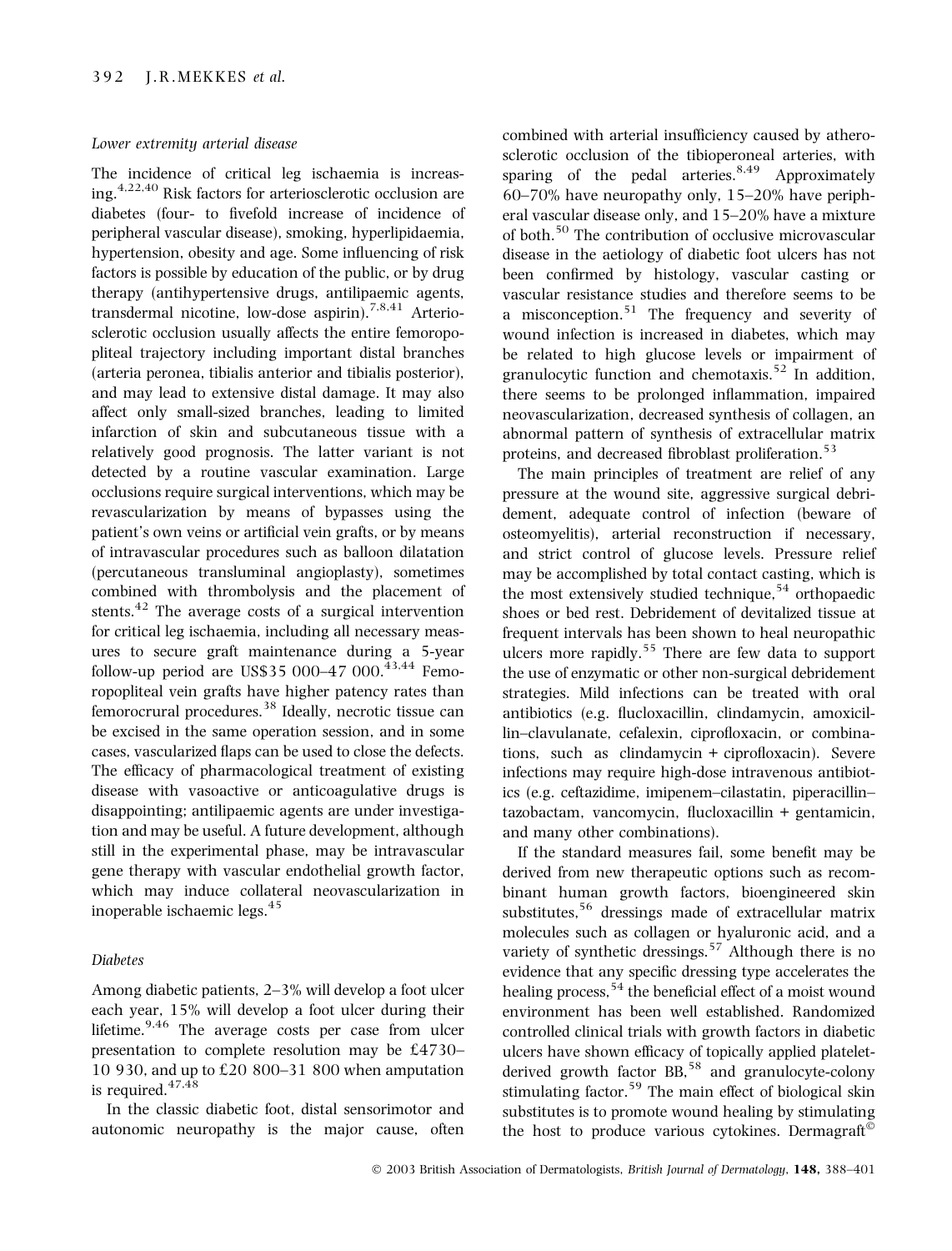#### Lower extremity arterial disease

The incidence of critical leg ischaemia is increasing.4,22,40 Risk factors for arteriosclerotic occlusion are diabetes (four- to fivefold increase of incidence of peripheral vascular disease), smoking, hyperlipidaemia, hypertension, obesity and age. Some influencing of risk factors is possible by education of the public, or by drug therapy (antihypertensive drugs, antilipaemic agents, transdermal nicotine, low-dose aspirin).7,8,41 Arteriosclerotic occlusion usually affects the entire femoropopliteal trajectory including important distal branches (arteria peronea, tibialis anterior and tibialis posterior), and may lead to extensive distal damage. It may also affect only small-sized branches, leading to limited infarction of skin and subcutaneous tissue with a relatively good prognosis. The latter variant is not detected by a routine vascular examination. Large occlusions require surgical interventions, which may be revascularization by means of bypasses using the patient's own veins or artificial vein grafts, or by means of intravascular procedures such as balloon dilatation (percutaneous transluminal angioplasty), sometimes combined with thrombolysis and the placement of stents.<sup>42</sup> The average costs of a surgical intervention for critical leg ischaemia, including all necessary measures to secure graft maintenance during a 5-year follow-up period are US\$35 000-47 000.<sup>43,44</sup> Femoropopliteal vein grafts have higher patency rates than femorocrural procedures.<sup>38</sup> Ideally, necrotic tissue can be excised in the same operation session, and in some cases, vascularized flaps can be used to close the defects. The efficacy of pharmacological treatment of existing disease with vasoactive or anticoagulative drugs is disappointing; antilipaemic agents are under investigation and may be useful. A future development, although still in the experimental phase, may be intravascular gene therapy with vascular endothelial growth factor, which may induce collateral neovascularization in inoperable ischaemic legs. $45$ 

## Diabetes

Among diabetic patients, 2–3% will develop a foot ulcer each year, 15% will develop a foot ulcer during their lifetime.9,46 The average costs per case from ulcer presentation to complete resolution may be £4730– 10 930, and up to £20 800–31 800 when amputation is required. $47,48$ 

In the classic diabetic foot, distal sensorimotor and autonomic neuropathy is the major cause, often

combined with arterial insufficiency caused by atherosclerotic occlusion of the tibioperoneal arteries, with sparing of the pedal arteries. $8,49$  Approximately 60–70% have neuropathy only, 15–20% have peripheral vascular disease only, and 15–20% have a mixture of both.<sup>50</sup> The contribution of occlusive microvascular disease in the aetiology of diabetic foot ulcers has not been confirmed by histology, vascular casting or vascular resistance studies and therefore seems to be a misconception. $51$  The frequency and severity of wound infection is increased in diabetes, which may be related to high glucose levels or impairment of granulocytic function and chemotaxis.<sup>52</sup> In addition, there seems to be prolonged inflammation, impaired neovascularization, decreased synthesis of collagen, an abnormal pattern of synthesis of extracellular matrix proteins, and decreased fibroblast proliferation.<sup>53</sup>

The main principles of treatment are relief of any pressure at the wound site, aggressive surgical debridement, adequate control of infection (beware of osteomyelitis), arterial reconstruction if necessary, and strict control of glucose levels. Pressure relief may be accomplished by total contact casting, which is the most extensively studied technique,<sup>54</sup> orthopaedic shoes or bed rest. Debridement of devitalized tissue at frequent intervals has been shown to heal neuropathic ulcers more rapidly.<sup>55</sup> There are few data to support the use of enzymatic or other non-surgical debridement strategies. Mild infections can be treated with oral antibiotics (e.g. flucloxacillin, clindamycin, amoxicillin–clavulanate, cefalexin, ciprofloxacin, or combinations, such as clindamycin + ciprofloxacin). Severe infections may require high-dose intravenous antibiotics (e.g. ceftazidime, imipenem–cilastatin, piperacillin– tazobactam, vancomycin, flucloxacillin + gentamicin, and many other combinations).

If the standard measures fail, some benefit may be derived from new therapeutic options such as recombinant human growth factors, bioengineered skin substitutes.<sup>56</sup> dressings made of extracellular matrix molecules such as collagen or hyaluronic acid, and a variety of synthetic dressings.<sup>57</sup> Although there is no evidence that any specific dressing type accelerates the healing process.  $54$  the beneficial effect of a moist wound environment has been well established. Randomized controlled clinical trials with growth factors in diabetic ulcers have shown efficacy of topically applied plateletderived growth factor  $BB$ ,  $58$  and granulocyte-colony stimulating factor.<sup>59</sup> The main effect of biological skin substitutes is to promote wound healing by stimulating the host to produce various cytokines. Dermagraft<sup>©</sup>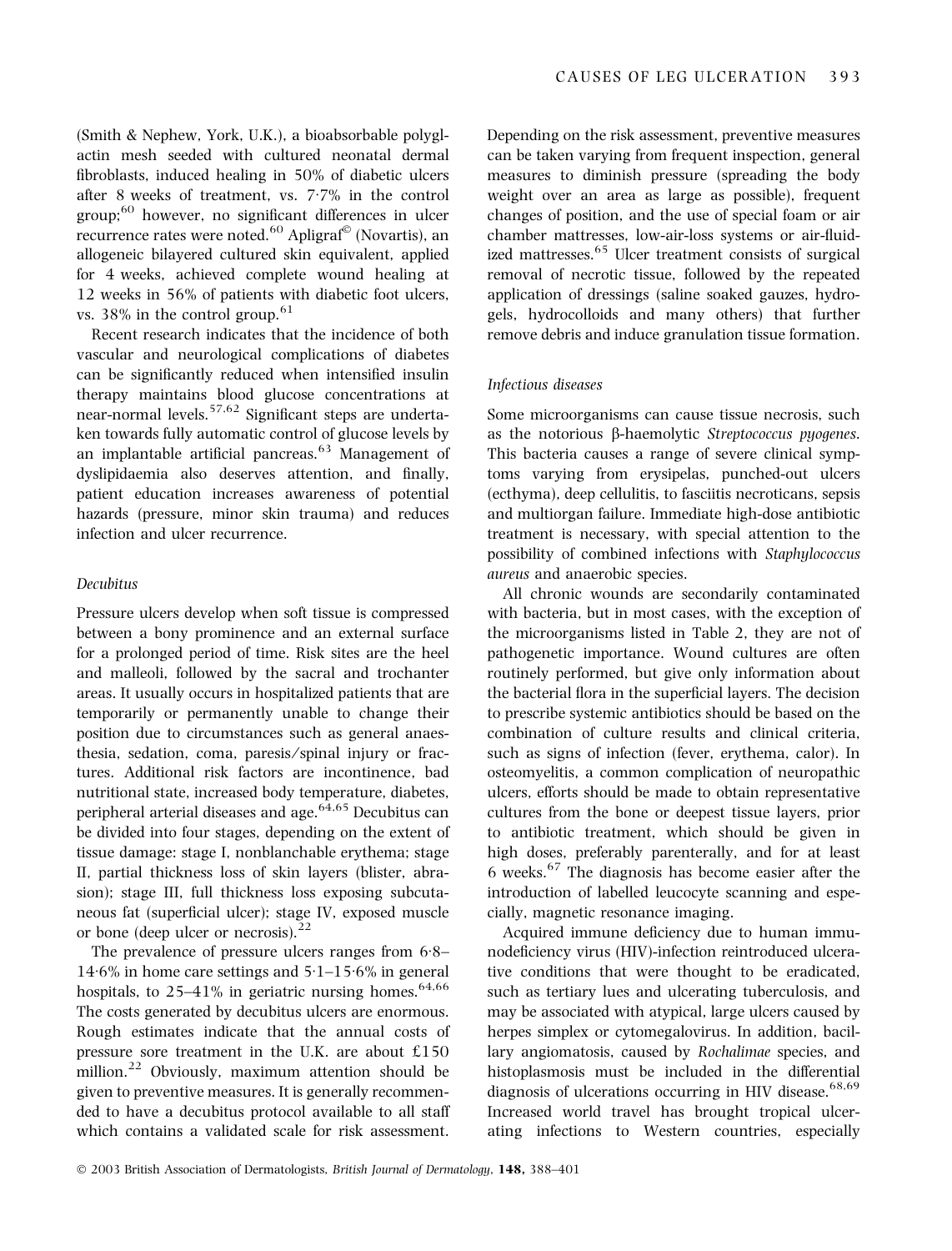(Smith & Nephew, York, U.K.), a bioabsorbable polyglactin mesh seeded with cultured neonatal dermal fibroblasts, induced healing in 50% of diabetic ulcers after 8 weeks of treatment, vs.  $7.7\%$  in the control group;<sup>60</sup> however, no significant differences in ulcer recurrence rates were noted.<sup>60</sup> Apligraf<sup>®</sup> (Novartis), an allogeneic bilayered cultured skin equivalent, applied for 4 weeks, achieved complete wound healing at 12 weeks in 56% of patients with diabetic foot ulcers, vs.  $38\%$  in the control group.<sup>61</sup>

Recent research indicates that the incidence of both vascular and neurological complications of diabetes can be significantly reduced when intensified insulin therapy maintains blood glucose concentrations at near-normal levels.57,62 Significant steps are undertaken towards fully automatic control of glucose levels by an implantable artificial pancreas.<sup>63</sup> Management of dyslipidaemia also deserves attention, and finally, patient education increases awareness of potential hazards (pressure, minor skin trauma) and reduces infection and ulcer recurrence.

#### Decubitus

Pressure ulcers develop when soft tissue is compressed between a bony prominence and an external surface for a prolonged period of time. Risk sites are the heel and malleoli, followed by the sacral and trochanter areas. It usually occurs in hospitalized patients that are temporarily or permanently unable to change their position due to circumstances such as general anaesthesia, sedation, coma, paresis/spinal injury or fractures. Additional risk factors are incontinence, bad nutritional state, increased body temperature, diabetes, peripheral arterial diseases and age. $64,65$  Decubitus can be divided into four stages, depending on the extent of tissue damage: stage I, nonblanchable erythema; stage II, partial thickness loss of skin layers (blister, abrasion); stage III, full thickness loss exposing subcutaneous fat (superficial ulcer); stage IV, exposed muscle or bone (deep ulcer or necrosis). $^{22}$ 

The prevalence of pressure ulcers ranges from  $6.8-$ 14.6% in home care settings and  $5.1-15.6$ % in general hospitals, to  $25-41\%$  in geriatric nursing homes.<sup>64,66</sup> The costs generated by decubitus ulcers are enormous. Rough estimates indicate that the annual costs of pressure sore treatment in the U.K. are about £150 million.<sup>22</sup> Obviously, maximum attention should be given to preventive measures. It is generally recommended to have a decubitus protocol available to all staff which contains a validated scale for risk assessment.

Depending on the risk assessment, preventive measures can be taken varying from frequent inspection, general measures to diminish pressure (spreading the body weight over an area as large as possible), frequent changes of position, and the use of special foam or air chamber mattresses, low-air-loss systems or air-fluidized mattresses.<sup>65</sup> Ulcer treatment consists of surgical removal of necrotic tissue, followed by the repeated application of dressings (saline soaked gauzes, hydrogels, hydrocolloids and many others) that further remove debris and induce granulation tissue formation.

#### Infectious diseases

Some microorganisms can cause tissue necrosis, such as the notorious  $\beta$ -haemolytic *Streptococcus pyogenes*. This bacteria causes a range of severe clinical symptoms varying from erysipelas, punched-out ulcers (ecthyma), deep cellulitis, to fasciitis necroticans, sepsis and multiorgan failure. Immediate high-dose antibiotic treatment is necessary, with special attention to the possibility of combined infections with Staphylococcus aureus and anaerobic species.

All chronic wounds are secondarily contaminated with bacteria, but in most cases, with the exception of the microorganisms listed in Table 2, they are not of pathogenetic importance. Wound cultures are often routinely performed, but give only information about the bacterial flora in the superficial layers. The decision to prescribe systemic antibiotics should be based on the combination of culture results and clinical criteria, such as signs of infection (fever, erythema, calor). In osteomyelitis, a common complication of neuropathic ulcers, efforts should be made to obtain representative cultures from the bone or deepest tissue layers, prior to antibiotic treatment, which should be given in high doses, preferably parenterally, and for at least 6 weeks. $67$  The diagnosis has become easier after the introduction of labelled leucocyte scanning and especially, magnetic resonance imaging.

Acquired immune deficiency due to human immunodeficiency virus (HIV)-infection reintroduced ulcerative conditions that were thought to be eradicated, such as tertiary lues and ulcerating tuberculosis, and may be associated with atypical, large ulcers caused by herpes simplex or cytomegalovirus. In addition, bacillary angiomatosis, caused by Rochalimae species, and histoplasmosis must be included in the differential diagnosis of ulcerations occurring in HIV disease.<sup>68,69</sup> Increased world travel has brought tropical ulcerating infections to Western countries, especially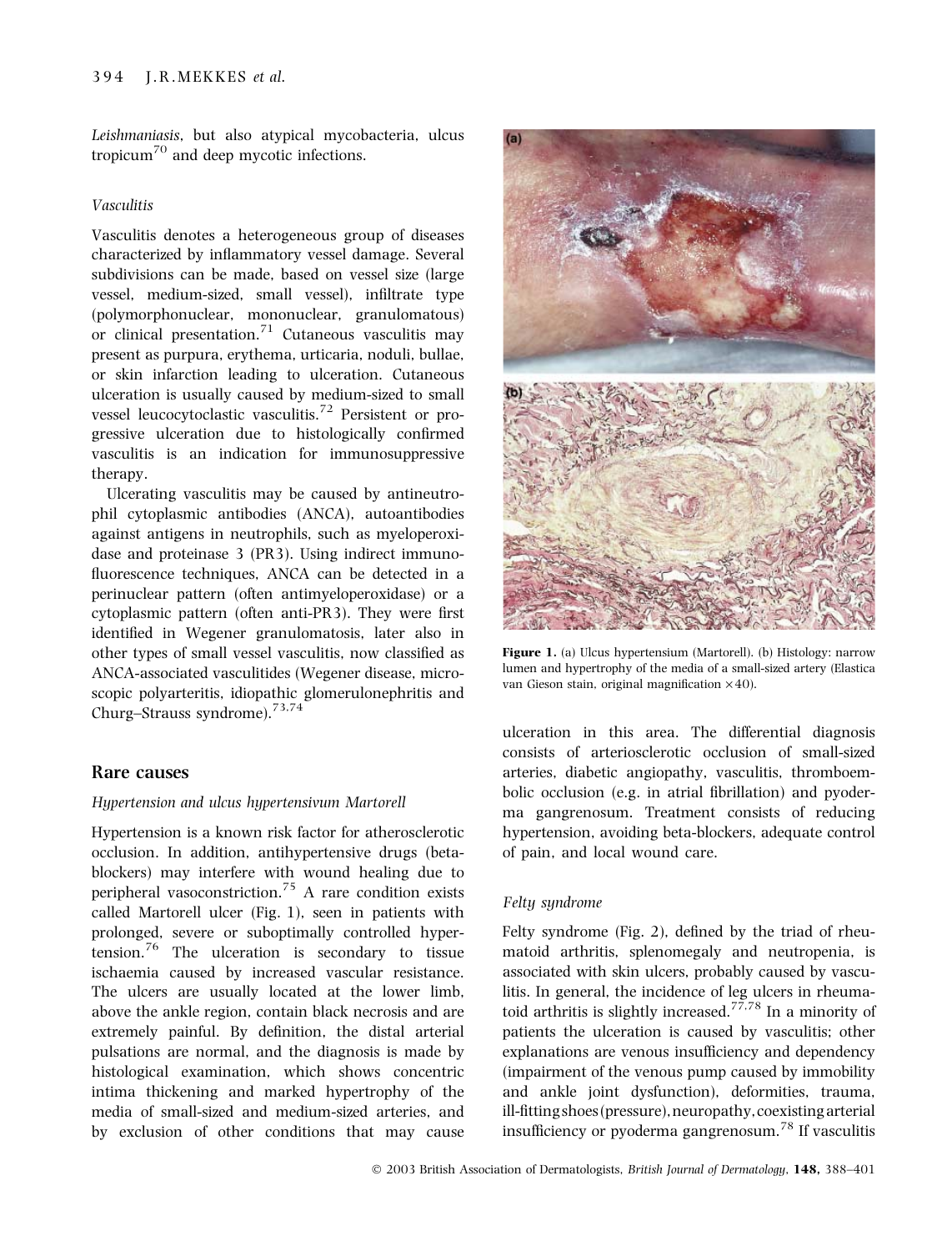Leishmaniasis, but also atypical mycobacteria, ulcus tropicum70 and deep mycotic infections.

#### Vasculitis

Vasculitis denotes a heterogeneous group of diseases characterized by inflammatory vessel damage. Several subdivisions can be made, based on vessel size (large vessel, medium-sized, small vessel), infiltrate type (polymorphonuclear, mononuclear, granulomatous) or clinical presentation.<sup>71</sup> Cutaneous vasculitis may present as purpura, erythema, urticaria, noduli, bullae, or skin infarction leading to ulceration. Cutaneous ulceration is usually caused by medium-sized to small vessel leucocytoclastic vasculitis.<sup>72</sup> Persistent or progressive ulceration due to histologically confirmed vasculitis is an indication for immunosuppressive therapy.

Ulcerating vasculitis may be caused by antineutrophil cytoplasmic antibodies (ANCA), autoantibodies against antigens in neutrophils, such as myeloperoxidase and proteinase 3 (PR3). Using indirect immunofluorescence techniques, ANCA can be detected in a perinuclear pattern (often antimyeloperoxidase) or a cytoplasmic pattern (often anti-PR3). They were first identified in Wegener granulomatosis, later also in other types of small vessel vasculitis, now classified as ANCA-associated vasculitides (Wegener disease, microscopic polyarteritis, idiopathic glomerulonephritis and Churg–Strauss syndrome).73,74

# Rare causes

## Hypertension and ulcus hypertensivum Martorell

Hypertension is a known risk factor for atherosclerotic occlusion. In addition, antihypertensive drugs (betablockers) may interfere with wound healing due to peripheral vasoconstriction.<sup>75</sup> A rare condition exists called Martorell ulcer (Fig. 1), seen in patients with prolonged, severe or suboptimally controlled hypertension.<sup>76</sup> The ulceration is secondary to tissue ischaemia caused by increased vascular resistance. The ulcers are usually located at the lower limb, above the ankle region, contain black necrosis and are extremely painful. By definition, the distal arterial pulsations are normal, and the diagnosis is made by histological examination, which shows concentric intima thickening and marked hypertrophy of the media of small-sized and medium-sized arteries, and by exclusion of other conditions that may cause



Figure 1. (a) Ulcus hypertensium (Martorell). (b) Histology: narrow lumen and hypertrophy of the media of a small-sized artery (Elastica van Gieson stain, original magnification  $\times$  40).

ulceration in this area. The differential diagnosis consists of arteriosclerotic occlusion of small-sized arteries, diabetic angiopathy, vasculitis, thromboembolic occlusion (e.g. in atrial fibrillation) and pyoderma gangrenosum. Treatment consists of reducing hypertension, avoiding beta-blockers, adequate control of pain, and local wound care.

#### Felty syndrome

Felty syndrome (Fig. 2), defined by the triad of rheumatoid arthritis, splenomegaly and neutropenia, is associated with skin ulcers, probably caused by vasculitis. In general, the incidence of leg ulcers in rheumatoid arthritis is slightly increased.<sup>77,78</sup> In a minority of patients the ulceration is caused by vasculitis; other explanations are venous insufficiency and dependency (impairment of the venous pump caused by immobility and ankle joint dysfunction), deformities, trauma, ill-fitting shoes (pressure), neuropathy, coexisting arterial insufficiency or pyoderma gangrenosum.<sup>78</sup> If vasculitis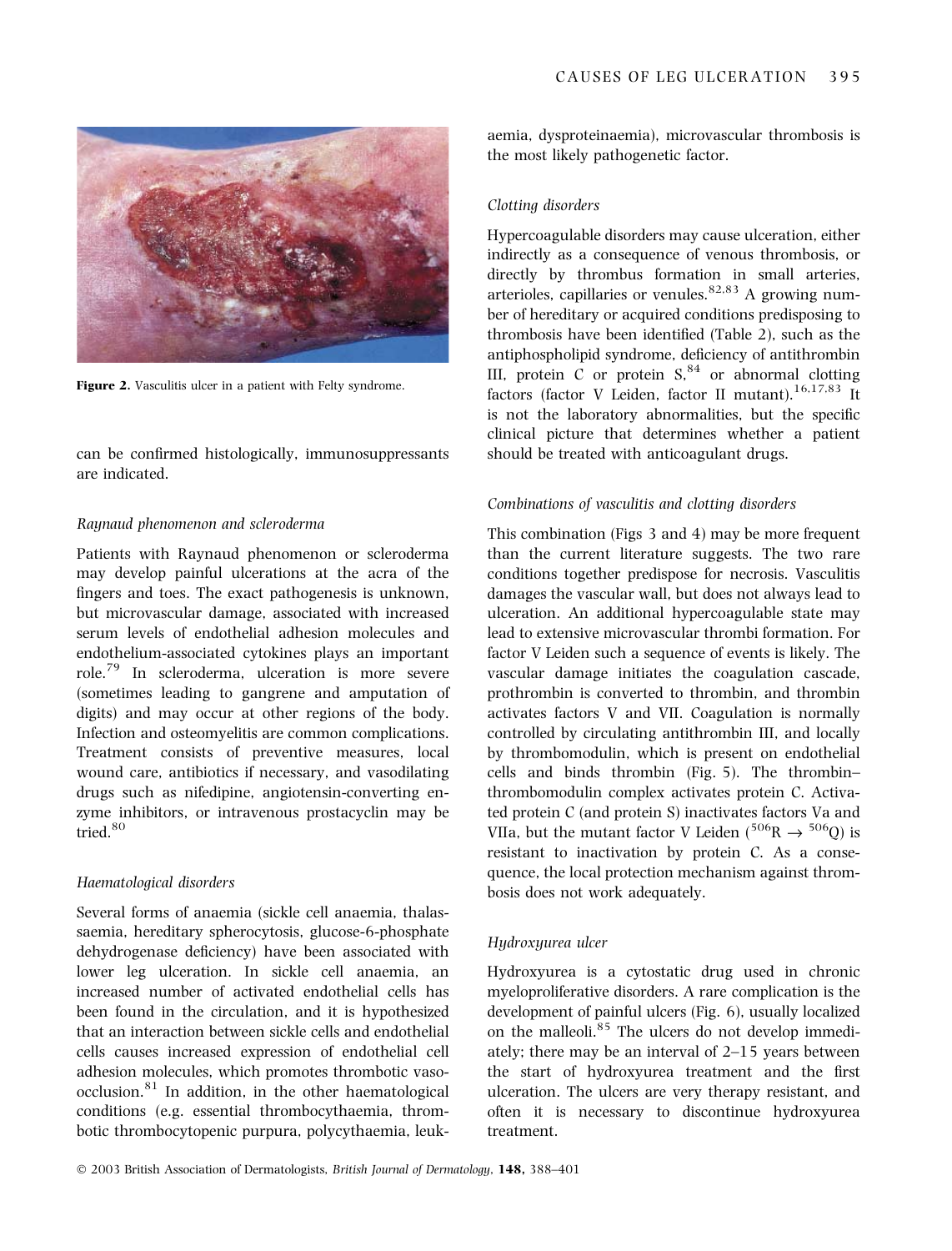

Figure 2. Vasculitis ulcer in a patient with Felty syndrome.

can be confirmed histologically, immunosuppressants are indicated.

## Raynaud phenomenon and scleroderma

Patients with Raynaud phenomenon or scleroderma may develop painful ulcerations at the acra of the fingers and toes. The exact pathogenesis is unknown, but microvascular damage, associated with increased serum levels of endothelial adhesion molecules and endothelium-associated cytokines plays an important role.<sup>79</sup> In scleroderma, ulceration is more severe (sometimes leading to gangrene and amputation of digits) and may occur at other regions of the body. Infection and osteomyelitis are common complications. Treatment consists of preventive measures, local wound care, antibiotics if necessary, and vasodilating drugs such as nifedipine, angiotensin-converting enzyme inhibitors, or intravenous prostacyclin may be tried.<sup>80</sup>

# Haematological disorders

Several forms of anaemia (sickle cell anaemia, thalassaemia, hereditary spherocytosis, glucose-6-phosphate dehydrogenase deficiency) have been associated with lower leg ulceration. In sickle cell anaemia, an increased number of activated endothelial cells has been found in the circulation, and it is hypothesized that an interaction between sickle cells and endothelial cells causes increased expression of endothelial cell adhesion molecules, which promotes thrombotic vasoocclusion.<sup>81</sup> In addition, in the other haematological conditions (e.g. essential thrombocythaemia, thrombotic thrombocytopenic purpura, polycythaemia, leukaemia, dysproteinaemia), microvascular thrombosis is the most likely pathogenetic factor.

# Clotting disorders

Hypercoagulable disorders may cause ulceration, either indirectly as a consequence of venous thrombosis, or directly by thrombus formation in small arteries,  $\frac{a_1}{b_1}$  arterioles, capillaries or venules.<sup>82,83</sup> A growing number of hereditary or acquired conditions predisposing to thrombosis have been identified (Table 2), such as the antiphospholipid syndrome, deficiency of antithrombin III, protein  $C$  or protein  $S$ ,  $84$  or abnormal clotting factors (factor V Leiden, factor II mutant).<sup>16,17,83</sup> It is not the laboratory abnormalities, but the specific clinical picture that determines whether a patient should be treated with anticoagulant drugs.

## Combinations of vasculitis and clotting disorders

This combination (Figs 3 and 4) may be more frequent than the current literature suggests. The two rare conditions together predispose for necrosis. Vasculitis damages the vascular wall, but does not always lead to ulceration. An additional hypercoagulable state may lead to extensive microvascular thrombi formation. For factor V Leiden such a sequence of events is likely. The vascular damage initiates the coagulation cascade, prothrombin is converted to thrombin, and thrombin activates factors V and VII. Coagulation is normally controlled by circulating antithrombin III, and locally by thrombomodulin, which is present on endothelial cells and binds thrombin (Fig. 5). The thrombin– thrombomodulin complex activates protein C. Activated protein C (and protein S) inactivates factors Va and VIIa, but the mutant factor V Leiden ( $506R \rightarrow 506Q$ ) is resistant to inactivation by protein C. As a consequence, the local protection mechanism against thrombosis does not work adequately.

# Hydroxyurea ulcer

Hydroxyurea is a cytostatic drug used in chronic myeloproliferative disorders. A rare complication is the development of painful ulcers (Fig. 6), usually localized on the malleoli.<sup>85</sup> The ulcers do not develop immediately; there may be an interval of 2–15 years between the start of hydroxyurea treatment and the first ulceration. The ulcers are very therapy resistant, and often it is necessary to discontinue hydroxyurea treatment.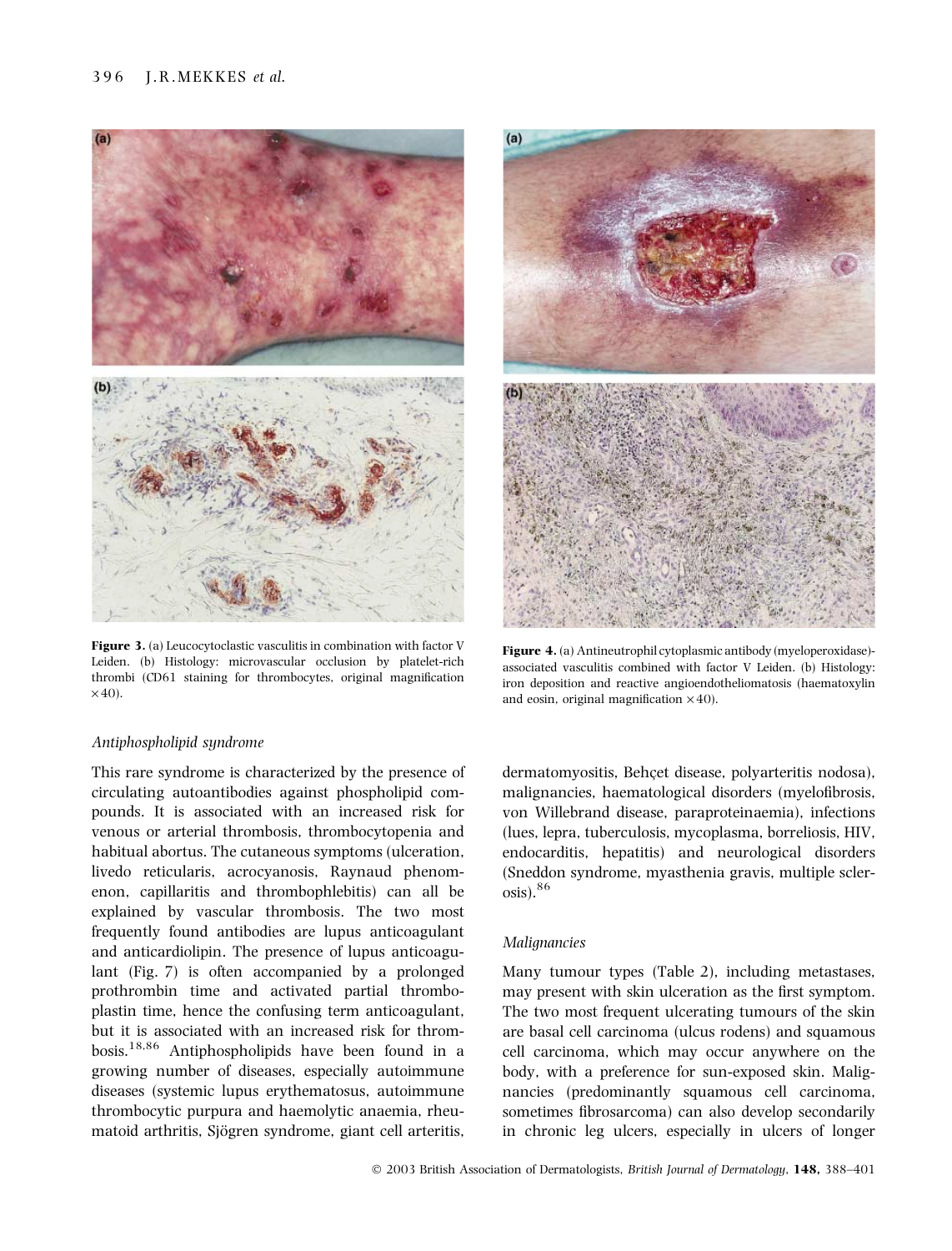

Figure 3. (a) Leucocytoclastic vasculitis in combination with factor V Leiden. (b) Histology: microvascular occlusion by platelet-rich thrombi (CD61 staining for thrombocytes, original magnification  $\times$ 40).



Figure 4. (a) Antineutrophil cytoplasmic antibody (myeloperoxidase) associated vasculitis combined with factor V Leiden. (b) Histology: iron deposition and reactive angioendotheliomatosis (haematoxylin and eosin, original magnification  $\times 40$ ).

## Antiphospholipid syndrome

This rare syndrome is characterized by the presence of circulating autoantibodies against phospholipid compounds. It is associated with an increased risk for venous or arterial thrombosis, thrombocytopenia and habitual abortus. The cutaneous symptoms (ulceration, livedo reticularis, acrocyanosis, Raynaud phenomenon, capillaritis and thrombophlebitis) can all be explained by vascular thrombosis. The two most frequently found antibodies are lupus anticoagulant and anticardiolipin. The presence of lupus anticoagulant (Fig. 7) is often accompanied by a prolonged prothrombin time and activated partial thromboplastin time, hence the confusing term anticoagulant, but it is associated with an increased risk for thrombosis.18,86 Antiphospholipids have been found in a growing number of diseases, especially autoimmune diseases (systemic lupus erythematosus, autoimmune thrombocytic purpura and haemolytic anaemia, rheumatoid arthritis, Sjögren syndrome, giant cell arteritis,

dermatomyositis, Behçet disease, polyarteritis nodosa), malignancies, haematological disorders (myelofibrosis, von Willebrand disease, paraproteinaemia), infections (lues, lepra, tuberculosis, mycoplasma, borreliosis, HIV, endocarditis, hepatitis) and neurological disorders (Sneddon syndrome, myasthenia gravis, multiple scler- $\cos$ sis).<sup>86</sup>

#### Malignancies

Many tumour types (Table 2), including metastases, may present with skin ulceration as the first symptom. The two most frequent ulcerating tumours of the skin are basal cell carcinoma (ulcus rodens) and squamous cell carcinoma, which may occur anywhere on the body, with a preference for sun-exposed skin. Malignancies (predominantly squamous cell carcinoma, sometimes fibrosarcoma) can also develop secondarily in chronic leg ulcers, especially in ulcers of longer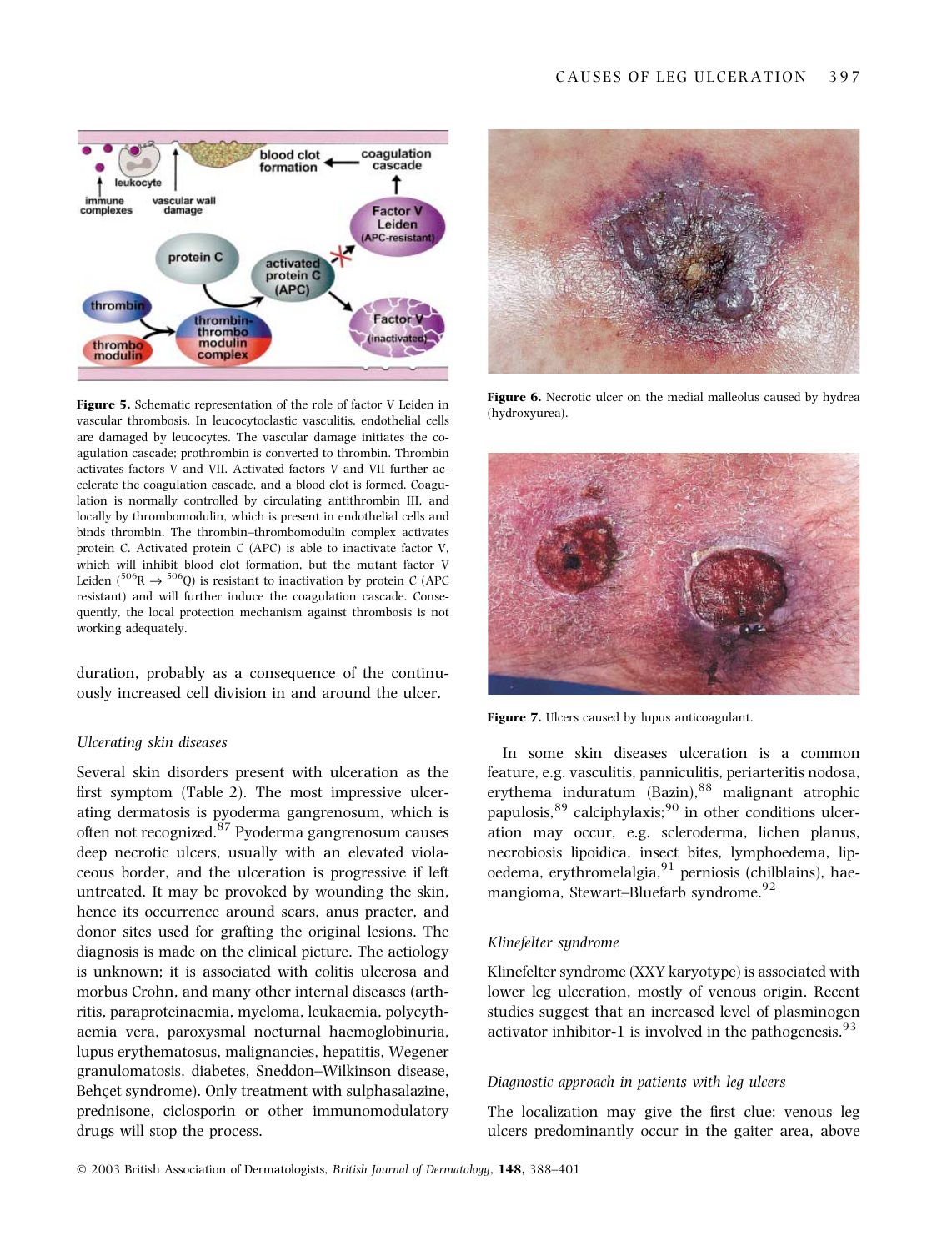

Figure 5. Schematic representation of the role of factor V Leiden in vascular thrombosis. In leucocytoclastic vasculitis, endothelial cells are damaged by leucocytes. The vascular damage initiates the coagulation cascade; prothrombin is converted to thrombin. Thrombin activates factors V and VII. Activated factors V and VII further accelerate the coagulation cascade, and a blood clot is formed. Coagulation is normally controlled by circulating antithrombin III, and locally by thrombomodulin, which is present in endothelial cells and binds thrombin. The thrombin–thrombomodulin complex activates protein C. Activated protein C (APC) is able to inactivate factor V, which will inhibit blood clot formation, but the mutant factor V Leiden ( $506R \rightarrow 506Q$ ) is resistant to inactivation by protein C (APC) resistant) and will further induce the coagulation cascade. Consequently, the local protection mechanism against thrombosis is not working adequately.

duration, probably as a consequence of the continuously increased cell division in and around the ulcer.

#### Ulcerating skin diseases

Several skin disorders present with ulceration as the first symptom (Table 2). The most impressive ulcerating dermatosis is pyoderma gangrenosum, which is often not recognized.<sup>87</sup> Pyoderma gangrenosum causes deep necrotic ulcers, usually with an elevated violaceous border, and the ulceration is progressive if left untreated. It may be provoked by wounding the skin, hence its occurrence around scars, anus praeter, and donor sites used for grafting the original lesions. The diagnosis is made on the clinical picture. The aetiology is unknown; it is associated with colitis ulcerosa and morbus Crohn, and many other internal diseases (arthritis, paraproteinaemia, myeloma, leukaemia, polycythaemia vera, paroxysmal nocturnal haemoglobinuria, lupus erythematosus, malignancies, hepatitis, Wegener granulomatosis, diabetes, Sneddon–Wilkinson disease, Behcet syndrome). Only treatment with sulphasalazine, prednisone, ciclosporin or other immunomodulatory drugs will stop the process.



Figure 6. Necrotic ulcer on the medial malleolus caused by hydrea (hydroxyurea).



Figure 7. Ulcers caused by lupus anticoagulant.

In some skin diseases ulceration is a common feature, e.g. vasculitis, panniculitis, periarteritis nodosa, erythema induratum (Bazin), <sup>88</sup> malignant atrophic papulosis,  $89$  calciphylaxis;  $90$  in other conditions ulceration may occur, e.g. scleroderma, lichen planus, necrobiosis lipoidica, insect bites, lymphoedema, lipoedema, erythromelalgia, <sup>91</sup> perniosis (chilblains), haemangioma, Stewart–Bluefarb syndrome.<sup>92</sup>

#### Klinefelter syndrome

Klinefelter syndrome (XXY karyotype) is associated with lower leg ulceration, mostly of venous origin. Recent studies suggest that an increased level of plasminogen activator inhibitor-1 is involved in the pathogenesis.  $93$ 

#### Diagnostic approach in patients with leg ulcers

The localization may give the first clue; venous leg ulcers predominantly occur in the gaiter area, above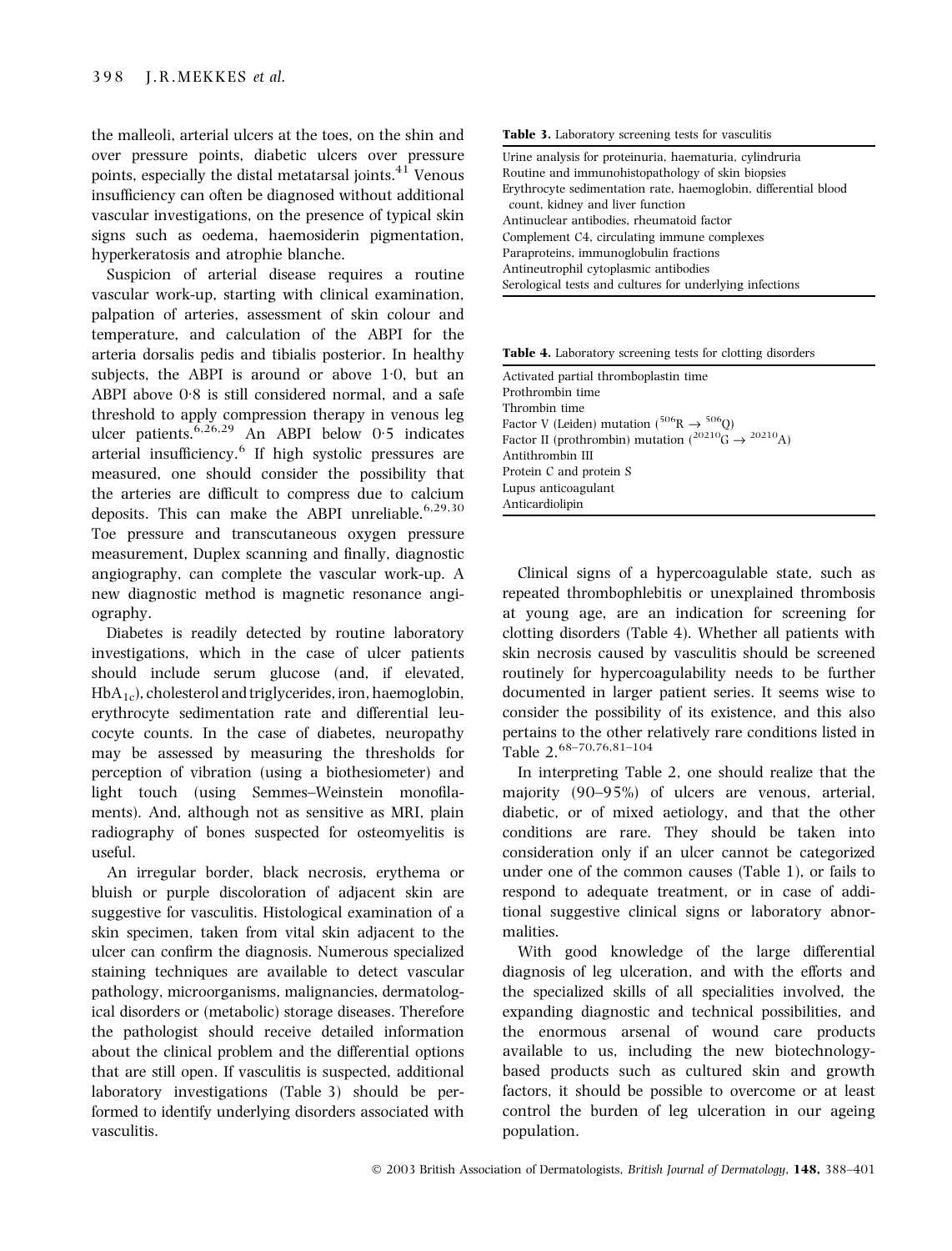the malleoli, arterial ulcers at the toes, on the shin and over pressure points, diabetic ulcers over pressure points, especially the distal metatarsal joints. $41$  Venous insufficiency can often be diagnosed without additional vascular investigations, on the presence of typical skin signs such as oedema, haemosiderin pigmentation, hyperkeratosis and atrophie blanche.

Suspicion of arterial disease requires a routine vascular work-up, starting with clinical examination, palpation of arteries, assessment of skin colour and temperature, and calculation of the ABPI for the arteria dorsalis pedis and tibialis posterior. In healthy subjects, the ABPI is around or above  $1.0$ , but an ABPI above  $0.8$  is still considered normal, and a safe threshold to apply compression therapy in venous leg ulcer patients.  $6,26,29$  An ABPI below 0.5 indicates arterial insufficiency.<sup>6</sup> If high systolic pressures are measured, one should consider the possibility that the arteries are difficult to compress due to calcium deposits. This can make the ABPI unreliable.  $6,29,30$ Toe pressure and transcutaneous oxygen pressure measurement, Duplex scanning and finally, diagnostic angiography, can complete the vascular work-up. A new diagnostic method is magnetic resonance angiography.

Diabetes is readily detected by routine laboratory investigations, which in the case of ulcer patients should include serum glucose (and, if elevated,  $HbA_{1c}$ , cholesterol and triglycerides, iron, haemoglobin, erythrocyte sedimentation rate and differential leucocyte counts. In the case of diabetes, neuropathy may be assessed by measuring the thresholds for perception of vibration (using a biothesiometer) and light touch (using Semmes–Weinstein monofilaments). And, although not as sensitive as MRI, plain radiography of bones suspected for osteomyelitis is useful.

An irregular border, black necrosis, erythema or bluish or purple discoloration of adjacent skin are suggestive for vasculitis. Histological examination of a skin specimen, taken from vital skin adjacent to the ulcer can confirm the diagnosis. Numerous specialized staining techniques are available to detect vascular pathology, microorganisms, malignancies, dermatological disorders or (metabolic) storage diseases. Therefore the pathologist should receive detailed information about the clinical problem and the differential options that are still open. If vasculitis is suspected, additional laboratory investigations (Table 3) should be performed to identify underlying disorders associated with vasculitis.

Table 3. Laboratory screening tests for vasculitis

| Urine analysis for proteinuria, haematuria, cylindruria         |  |  |  |  |  |
|-----------------------------------------------------------------|--|--|--|--|--|
| Routine and immunohistopathology of skin biopsies               |  |  |  |  |  |
| Erythrocyte sedimentation rate, haemoglobin, differential blood |  |  |  |  |  |
| count, kidney and liver function                                |  |  |  |  |  |
| Antinuclear antibodies, rheumatoid factor                       |  |  |  |  |  |
| Complement C4, circulating immune complexes                     |  |  |  |  |  |
| Paraproteins, immunoglobulin fractions                          |  |  |  |  |  |
| Antineutrophil cytoplasmic antibodies                           |  |  |  |  |  |
| Serological tests and cultures for underlying infections        |  |  |  |  |  |
|                                                                 |  |  |  |  |  |

|  | <b>Table 4.</b> Laboratory screening tests for clotting disorders |  |  |  |  |
|--|-------------------------------------------------------------------|--|--|--|--|
|--|-------------------------------------------------------------------|--|--|--|--|

Activated partial thromboplastin time Prothrombin time Thrombin time Factor V (Leiden) mutation  $(^{506}\mathrm{R} \rightarrow ^{506}\mathrm{Q})$ Factor II (prothrombin) mutation ( $^{20210}$ G  $\rightarrow$   $^{20210}$ A) Antithrombin III Protein C and protein S Lupus anticoagulant Anticardiolipin

Clinical signs of a hypercoagulable state, such as repeated thrombophlebitis or unexplained thrombosis at young age, are an indication for screening for clotting disorders (Table 4). Whether all patients with skin necrosis caused by vasculitis should be screened routinely for hypercoagulability needs to be further documented in larger patient series. It seems wise to consider the possibility of its existence, and this also pertains to the other relatively rare conditions listed in Table 2.68–70,76,81–104

In interpreting Table 2, one should realize that the majority (90–95%) of ulcers are venous, arterial, diabetic, or of mixed aetiology, and that the other conditions are rare. They should be taken into consideration only if an ulcer cannot be categorized under one of the common causes (Table 1), or fails to respond to adequate treatment, or in case of additional suggestive clinical signs or laboratory abnormalities.

With good knowledge of the large differential diagnosis of leg ulceration, and with the efforts and the specialized skills of all specialities involved, the expanding diagnostic and technical possibilities, and the enormous arsenal of wound care products available to us, including the new biotechnologybased products such as cultured skin and growth factors, it should be possible to overcome or at least control the burden of leg ulceration in our ageing population.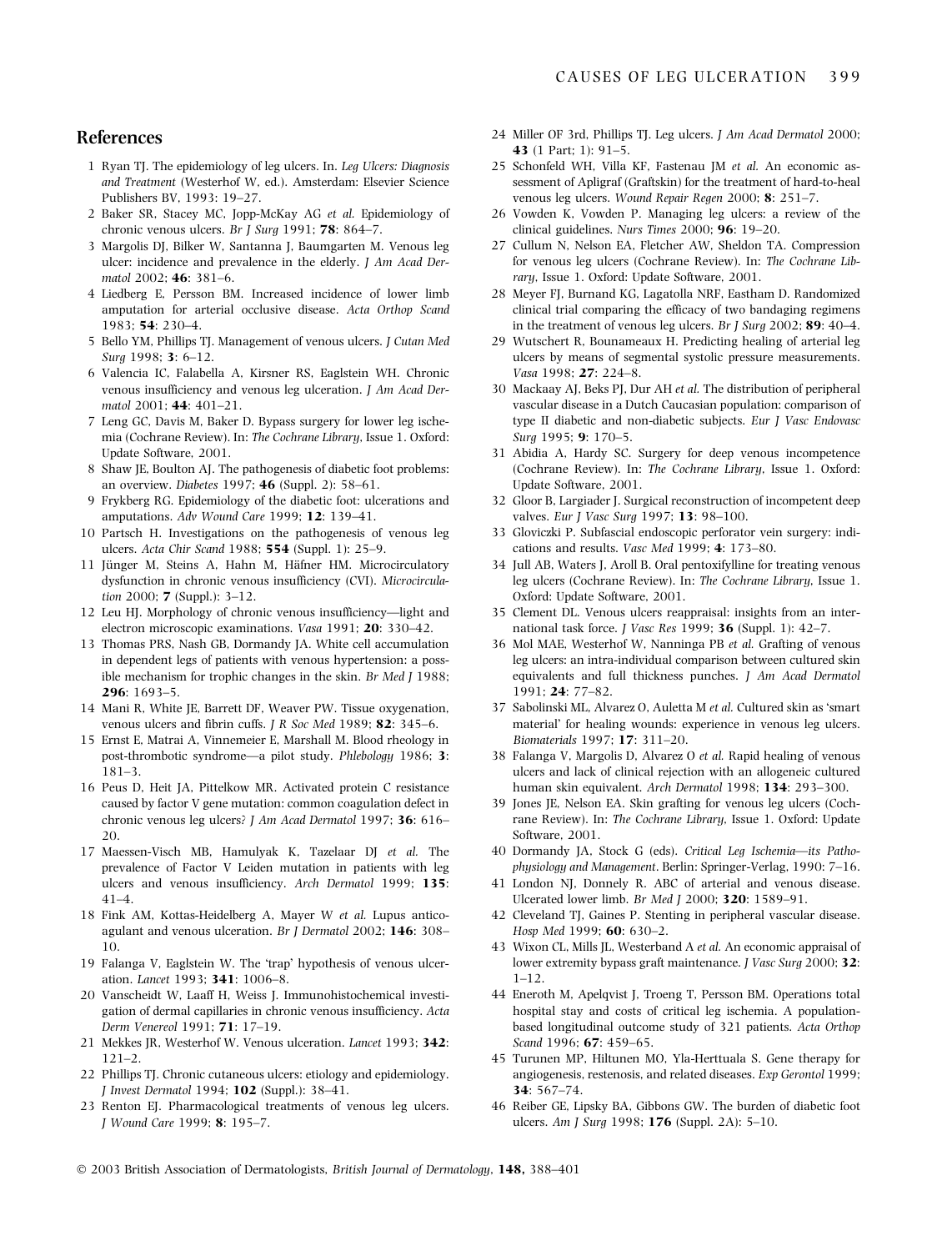# References

- 1 Ryan TJ. The epidemiology of leg ulcers. In. Leg Ulcers: Diagnosis and Treatment (Westerhof W, ed.). Amsterdam: Elsevier Science Publishers BV, 1993: 19–27.
- 2 Baker SR, Stacey MC, Jopp-McKay AG et al. Epidemiology of chronic venous ulcers. Br J Surg 1991; 78: 864–7.
- 3 Margolis DJ, Bilker W, Santanna J, Baumgarten M. Venous leg ulcer: incidence and prevalence in the elderly. J Am Acad Dermatol 2002; 46: 381–6.
- 4 Liedberg E, Persson BM. Increased incidence of lower limb amputation for arterial occlusive disease. Acta Orthop Scand 1983; 54: 230–4.
- 5 Bello YM, Phillips TJ. Management of venous ulcers. J Cutan Med Surg 1998; 3: 6–12.
- 6 Valencia IC, Falabella A, Kirsner RS, Eaglstein WH. Chronic venous insufficiency and venous leg ulceration. J Am Acad Dermatol 2001; 44: 401–21.
- 7 Leng GC, Davis M, Baker D. Bypass surgery for lower leg ischemia (Cochrane Review). In: The Cochrane Library, Issue 1. Oxford: Update Software, 2001.
- 8 Shaw JE, Boulton AJ. The pathogenesis of diabetic foot problems: an overview. Diabetes 1997; 46 (Suppl. 2): 58–61.
- 9 Frykberg RG. Epidemiology of the diabetic foot: ulcerations and amputations. Adv Wound Care 1999; 12: 139–41.
- 10 Partsch H. Investigations on the pathogenesis of venous leg ulcers. Acta Chir Scand 1988; 554 (Suppl. 1): 25–9.
- 11 Jünger M, Steins A, Hahn M, Häfner HM. Microcirculatory dysfunction in chronic venous insufficiency (CVI). Microcirculation 2000; 7 (Suppl.): 3–12.
- 12 Leu HJ. Morphology of chronic venous insufficiency—light and electron microscopic examinations. Vasa 1991; 20: 330–42.
- 13 Thomas PRS, Nash GB, Dormandy JA. White cell accumulation in dependent legs of patients with venous hypertension: a possible mechanism for trophic changes in the skin. Br Med J 1988; 296: 1693–5.
- 14 Mani R, White JE, Barrett DF, Weaver PW. Tissue oxygenation, venous ulcers and fibrin cuffs. *J R Soc Med* 1989; **82**: 345–6.
- 15 Ernst E, Matrai A, Vinnemeier E, Marshall M. Blood rheology in post-thrombotic syndrome—a pilot study. Phlebology 1986; 3: 181–3.
- 16 Peus D, Heit JA, Pittelkow MR. Activated protein C resistance caused by factor V gene mutation: common coagulation defect in chronic venous leg ulcers? J Am Acad Dermatol 1997; 36: 616-20.
- 17 Maessen-Visch MB, Hamulyak K, Tazelaar DJ et al. The prevalence of Factor V Leiden mutation in patients with leg ulcers and venous insufficiency. Arch Dermatol 1999; 135: 41–4.
- 18 Fink AM, Kottas-Heidelberg A, Mayer W et al. Lupus anticoagulant and venous ulceration. Br J Dermatol 2002; 146: 308– 10.
- 19 Falanga V, Eaglstein W. The 'trap' hypothesis of venous ulceration. Lancet 1993; 341: 1006–8.
- 20 Vanscheidt W, Laaff H, Weiss J. Immunohistochemical investigation of dermal capillaries in chronic venous insufficiency. Acta Derm Venereol 1991; 71: 17–19.
- 21 Mekkes JR, Westerhof W. Venous ulceration. Lancet 1993; 342: 121–2.
- 22 Phillips TJ. Chronic cutaneous ulcers: etiology and epidemiology. J Invest Dermatol 1994; 102 (Suppl.): 38–41.
- 23 Renton EJ. Pharmacological treatments of venous leg ulcers. J Wound Care 1999; 8: 195–7.
- 24 Miller OF 3rd, Phillips TI. Leg ulcers. *I Am Acad Dermatol* 2000: 43 (1 Part; 1): 91–5.
- 25 Schonfeld WH, Villa KF, Fastenau JM et al. An economic assessment of Apligraf (Graftskin) for the treatment of hard-to-heal venous leg ulcers. Wound Repair Regen 2000; 8: 251–7.
- 26 Vowden K, Vowden P. Managing leg ulcers: a review of the clinical guidelines. Nurs Times 2000; 96: 19–20.
- 27 Cullum N, Nelson EA, Fletcher AW, Sheldon TA. Compression for venous leg ulcers (Cochrane Review). In: The Cochrane Library, Issue 1. Oxford: Update Software, 2001.
- 28 Meyer FJ, Burnand KG, Lagatolla NRF, Eastham D. Randomized clinical trial comparing the efficacy of two bandaging regimens in the treatment of venous leg ulcers. Br J Surg 2002; 89: 40–4.
- 29 Wutschert R, Bounameaux H. Predicting healing of arterial leg ulcers by means of segmental systolic pressure measurements. Vasa 1998; 27: 224–8.
- 30 Mackaay AJ, Beks PJ, Dur AH et al. The distribution of peripheral vascular disease in a Dutch Caucasian population: comparison of type II diabetic and non-diabetic subjects. Eur J Vasc Endovasc Surg 1995; 9: 170–5.
- 31 Abidia A, Hardy SC. Surgery for deep venous incompetence (Cochrane Review). In: The Cochrane Library, Issue 1. Oxford: Update Software, 2001.
- 32 Gloor B, Largiader J. Surgical reconstruction of incompetent deep valves. Eur J Vasc Surg 1997; 13: 98-100.
- 33 Gloviczki P. Subfascial endoscopic perforator vein surgery: indications and results. Vasc Med 1999; 4: 173–80.
- 34 Jull AB, Waters J, Aroll B. Oral pentoxifylline for treating venous leg ulcers (Cochrane Review). In: The Cochrane Library, Issue 1. Oxford: Update Software, 2001.
- 35 Clement DL. Venous ulcers reappraisal: insights from an international task force. J Vasc Res 1999; 36 (Suppl. 1): 42–7.
- 36 Mol MAE, Westerhof W, Nanninga PB et al. Grafting of venous leg ulcers: an intra-individual comparison between cultured skin equivalents and full thickness punches. J Am Acad Dermatol 1991; 24: 77–82.
- 37 Sabolinski ML, Alvarez O, Auletta M et al. Cultured skin as 'smart material' for healing wounds: experience in venous leg ulcers. Biomaterials 1997; 17: 311–20.
- 38 Falanga V, Margolis D, Alvarez O et al. Rapid healing of venous ulcers and lack of clinical rejection with an allogeneic cultured human skin equivalent. Arch Dermatol 1998; 134: 293–300.
- 39 Jones JE, Nelson EA. Skin grafting for venous leg ulcers (Cochrane Review). In: The Cochrane Library, Issue 1. Oxford: Update Software, 2001.
- 40 Dormandy JA, Stock G (eds). Critical Leg Ischemia—its Pathophysiology and Management. Berlin: Springer-Verlag, 1990: 7–16.
- 41 London NJ, Donnely R. ABC of arterial and venous disease. Ulcerated lower limb. Br Med J 2000; 320: 1589–91.
- 42 Cleveland TJ, Gaines P. Stenting in peripheral vascular disease. Hosp Med 1999; 60: 630–2.
- 43 Wixon CL, Mills JL, Westerband A et al. An economic appraisal of lower extremity bypass graft maintenance. J Vasc Surg 2000; 32: 1–12.
- 44 Eneroth M, Apelqvist J, Troeng T, Persson BM. Operations total hospital stay and costs of critical leg ischemia. A populationbased longitudinal outcome study of 321 patients. Acta Orthop Scand 1996; **67**: 459-65.
- 45 Turunen MP, Hiltunen MO, Yla-Herttuala S. Gene therapy for angiogenesis, restenosis, and related diseases. Exp Gerontol 1999; 34: 567–74.
- 46 Reiber GE, Lipsky BA, Gibbons GW. The burden of diabetic foot ulcers. Am J Surg 1998; 176 (Suppl. 2A): 5–10.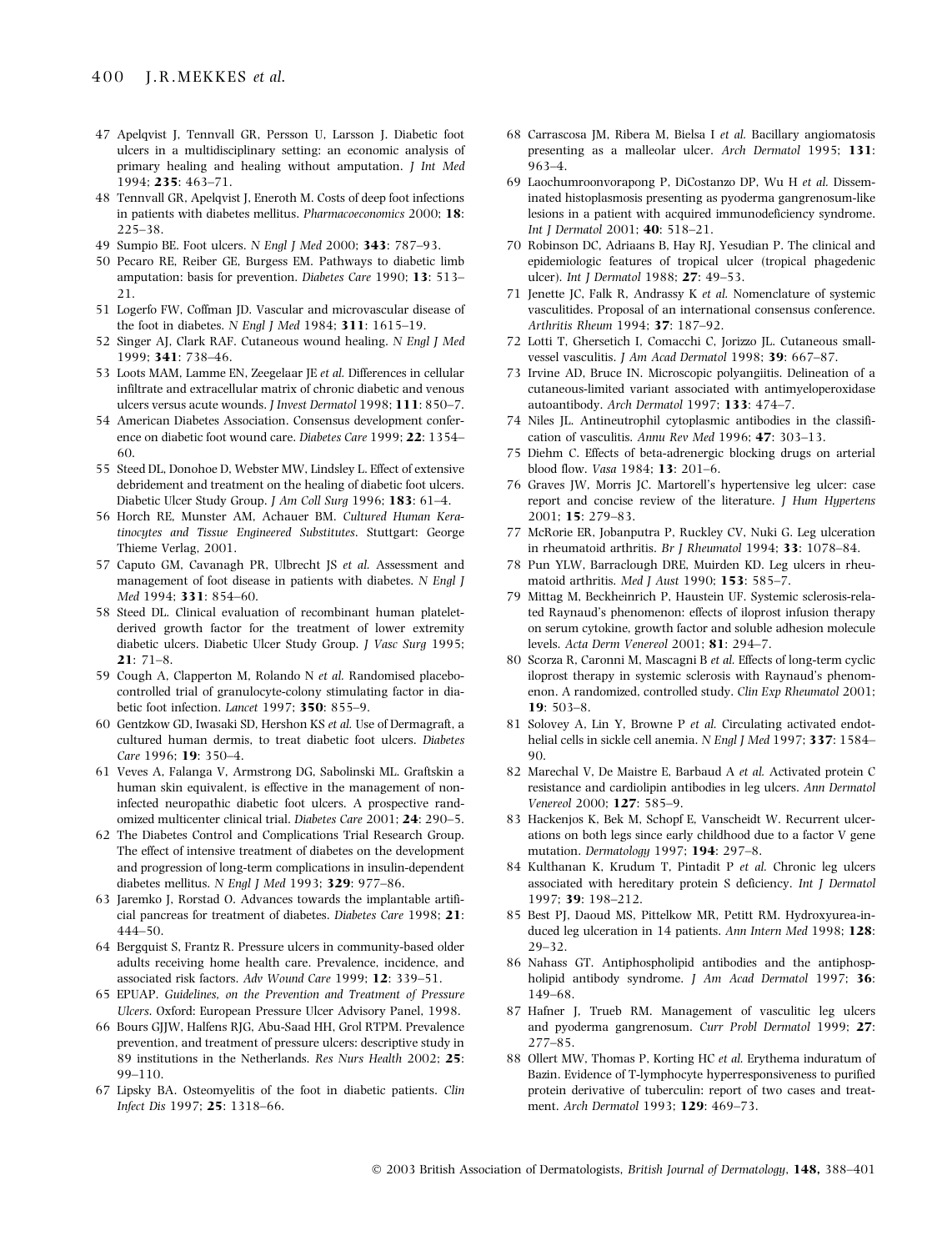- 47 Apelqvist J, Tennvall GR, Persson U, Larsson J. Diabetic foot ulcers in a multidisciplinary setting: an economic analysis of primary healing and healing without amputation. J Int Med 1994; 235: 463–71.
- 48 Tennvall GR, Apelqvist J, Eneroth M. Costs of deep foot infections in patients with diabetes mellitus. Pharmacoeconomics 2000; 18: 225–38.
- 49 Sumpio BE. Foot ulcers. N Engl J Med 2000; 343: 787–93.
- 50 Pecaro RE, Reiber GE, Burgess EM. Pathways to diabetic limb amputation: basis for prevention. Diabetes Care 1990; 13: 513– 21.
- 51 Logerfo FW, Coffman JD. Vascular and microvascular disease of the foot in diabetes. N Engl J Med 1984; 311: 1615–19.
- Singer AJ, Clark RAF. Cutaneous wound healing. N Engl J Med 1999; 341: 738–46.
- 53 Loots MAM, Lamme EN, Zeegelaar JE et al. Differences in cellular infiltrate and extracellular matrix of chronic diabetic and venous ulcers versus acute wounds. J Invest Dermatol 1998; 111: 850–7.
- 54 American Diabetes Association. Consensus development conference on diabetic foot wound care. Diabetes Care 1999; 22: 1354– 60.
- 55 Steed DL, Donohoe D, Webster MW, Lindsley L. Effect of extensive debridement and treatment on the healing of diabetic foot ulcers. Diabetic Ulcer Study Group. J Am Coll Surg 1996; 183: 61–4.
- 56 Horch RE, Munster AM, Achauer BM. Cultured Human Keratinocytes and Tissue Engineered Substitutes. Stuttgart: George Thieme Verlag, 2001.
- 57 Caputo GM, Cavanagh PR, Ulbrecht JS et al. Assessment and management of foot disease in patients with diabetes. N Engl J Med 1994; 331: 854–60.
- 58 Steed DL. Clinical evaluation of recombinant human plateletderived growth factor for the treatment of lower extremity diabetic ulcers. Diabetic Ulcer Study Group. J Vasc Surg 1995;  $21 \cdot 71 - 8$
- 59 Cough A, Clapperton M, Rolando N et al. Randomised placebocontrolled trial of granulocyte-colony stimulating factor in diabetic foot infection. Lancet 1997; 350: 855–9.
- 60 Gentzkow GD, Iwasaki SD, Hershon KS et al. Use of Dermagraft, a cultured human dermis, to treat diabetic foot ulcers. Diabetes Care 1996; 19: 350–4.
- 61 Veves A, Falanga V, Armstrong DG, Sabolinski ML. Graftskin a human skin equivalent, is effective in the management of noninfected neuropathic diabetic foot ulcers. A prospective randomized multicenter clinical trial. Diabetes Care 2001; 24: 290–5.
- 62 The Diabetes Control and Complications Trial Research Group. The effect of intensive treatment of diabetes on the development and progression of long-term complications in insulin-dependent diabetes mellitus. N Engl J Med 1993; 329: 977-86.
- 63 Jaremko J, Rorstad O. Advances towards the implantable artificial pancreas for treatment of diabetes. Diabetes Care 1998; 21: 444–50.
- 64 Bergquist S, Frantz R. Pressure ulcers in community-based older adults receiving home health care. Prevalence, incidence, and associated risk factors. Adv Wound Care 1999; 12: 339–51.
- 65 EPUAP. Guidelines, on the Prevention and Treatment of Pressure Ulcers. Oxford: European Pressure Ulcer Advisory Panel, 1998.
- 66 Bours GJJW, Halfens RJG, Abu-Saad HH, Grol RTPM. Prevalence prevention, and treatment of pressure ulcers: descriptive study in 89 institutions in the Netherlands. Res Nurs Health 2002; 25: 99–110.
- 67 Lipsky BA. Osteomyelitis of the foot in diabetic patients. Clin Infect Dis 1997; 25: 1318–66.
- 68 Carrascosa JM, Ribera M, Bielsa I et al. Bacillary angiomatosis presenting as a malleolar ulcer. Arch Dermatol 1995; 131: 963–4.
- 69 Laochumroonvorapong P, DiCostanzo DP, Wu H et al. Disseminated histoplasmosis presenting as pyoderma gangrenosum-like lesions in a patient with acquired immunodeficiency syndrome. Int J Dermatol 2001; 40: 518–21.
- 70 Robinson DC, Adriaans B, Hay RJ, Yesudian P. The clinical and epidemiologic features of tropical ulcer (tropical phagedenic ulcer). Int J Dermatol 1988; 27: 49–53.
- 71 Jenette JC, Falk R, Andrassy K et al. Nomenclature of systemic vasculitides. Proposal of an international consensus conference. Arthritis Rheum 1994; 37: 187–92.
- 72 Lotti T, Ghersetich I, Comacchi C, Jorizzo JL. Cutaneous smallvessel vasculitis. J Am Acad Dermatol 1998; 39: 667-87.
- 73 Irvine AD, Bruce IN. Microscopic polyangiitis. Delineation of a cutaneous-limited variant associated with antimyeloperoxidase autoantibody. Arch Dermatol 1997; 133: 474–7.
- 74 Niles JL. Antineutrophil cytoplasmic antibodies in the classification of vasculitis. Annu Rev Med 1996; 47: 303–13.
- 75 Diehm C. Effects of beta-adrenergic blocking drugs on arterial blood flow. Vasa 1984; 13: 201–6.
- 76 Graves JW, Morris JC. Martorell's hypertensive leg ulcer: case report and concise review of the literature. J Hum Hypertens 2001; 15: 279–83.
- 77 McRorie ER, Jobanputra P, Ruckley CV, Nuki G. Leg ulceration in rheumatoid arthritis. Br J Rheumatol 1994; 33: 1078–84.
- 78 Pun YLW, Barraclough DRE, Muirden KD. Leg ulcers in rheumatoid arthritis. Med I Aust 1990: 153: 585-7.
- 79 Mittag M, Beckheinrich P, Haustein UF. Systemic sclerosis-related Raynaud's phenomenon: effects of iloprost infusion therapy on serum cytokine, growth factor and soluble adhesion molecule levels. Acta Derm Venereol 2001; 81: 294–7.
- 80 Scorza R, Caronni M, Mascagni B et al. Effects of long-term cyclic iloprost therapy in systemic sclerosis with Raynaud's phenomenon. A randomized, controlled study. Clin Exp Rheumatol 2001; 19: 503–8.
- 81 Solovey A, Lin Y, Browne P et al. Circulating activated endothelial cells in sickle cell anemia. N Engl J Med 1997; 337: 1584– 90.
- 82 Marechal V, De Maistre E, Barbaud A et al. Activated protein C resistance and cardiolipin antibodies in leg ulcers. Ann Dermatol Venereol 2000; 127: 585–9.
- 83 Hackenjos K, Bek M, Schopf E, Vanscheidt W. Recurrent ulcerations on both legs since early childhood due to a factor V gene mutation. Dermatology 1997; 194: 297–8.
- 84 Kulthanan K, Krudum T, Pintadit P et al. Chronic leg ulcers associated with hereditary protein S deficiency. Int J Dermatol 1997; 39: 198–212.
- 85 Best PJ, Daoud MS, Pittelkow MR, Petitt RM. Hydroxyurea-induced leg ulceration in 14 patients. Ann Intern Med 1998; 128: 29–32.
- 86 Nahass GT. Antiphospholipid antibodies and the antiphospholipid antibody syndrome. J Am Acad Dermatol 1997; 36: 149–68.
- 87 Hafner J, Trueb RM. Management of vasculitic leg ulcers and pyoderma gangrenosum. Curr Probl Dermatol 1999; 27: 277–85.
- 88 Ollert MW, Thomas P, Korting HC et al. Erythema induratum of Bazin. Evidence of T-lymphocyte hyperresponsiveness to purified protein derivative of tuberculin: report of two cases and treatment. Arch Dermatol 1993; 129: 469–73.